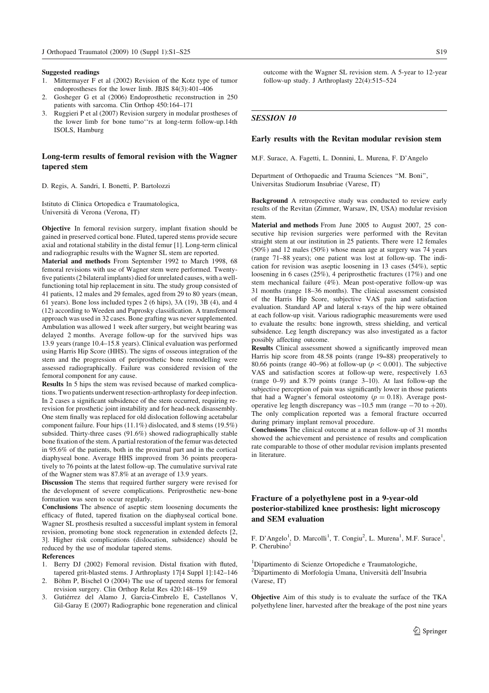#### Suggested readings

- 1. Mittermayer F et al (2002) Revision of the Kotz type of tumor endoprostheses for the lower limb. JBJS 84(3):401–406
- 2. Gosheger G et al (2006) Endoprosthetic reconstruction in 250 patients with sarcoma. Clin Orthop 450:164–171
- 3. Ruggieri P et al (2007) Revision surgery in modular prostheses of the lower limb for bone tumo''rs at long-term follow-up.14th ISOLS, Hamburg

## Long-term results of femoral revision with the Wagner tapered stem

D. Regis, A. Sandri, I. Bonetti, P. Bartolozzi

Istituto di Clinica Ortopedica e Traumatologica, Universita` di Verona (Verona, IT)

Objective In femoral revision surgery, implant fixation should be gained in preserved cortical bone. Fluted, tapered stems provide secure axial and rotational stability in the distal femur [1]. Long-term clinical and radiographic results with the Wagner SL stem are reported.

Material and methods From September 1992 to March 1998, 68 femoral revisions with use of Wagner stem were performed. Twentyfive patients (2 bilateral implants) died for unrelated causes, with a wellfunctioning total hip replacement in situ. The study group consisted of 41 patients, 12 males and 29 females, aged from 29 to 80 years (mean, 61 years). Bone loss included types 2 (6 hips), 3A (19), 3B (4), and 4 (12) according to Weeden and Paprosky classification. A transfemoral approach was used in 32 cases. Bone grafting was never supplemented. Ambulation was allowed 1 week after surgery, but weight bearing was delayed 2 months. Average follow-up for the survived hips was 13.9 years (range 10.4–15.8 years). Clinical evaluation was performed using Harris Hip Score (HHS). The signs of osseous integration of the stem and the progression of periprosthetic bone remodelling were assessed radiographically. Failure was considered revision of the femoral component for any cause.

Results In 5 hips the stem was revised because of marked complications. Two patients underwent resection-arthroplasty for deep infection. In 2 cases a significant subsidence of the stem occurred, requiring rerevision for prosthetic joint instability and for head-neck disassembly. One stem finally was replaced for old dislocation following acetabular component failure. Four hips (11.1%) dislocated, and 8 stems (19.5%) subsided. Thirty-three cases (91.6%) showed radiographically stable bone fixation of the stem. A partial restoration of the femur was detected in 95.6% of the patients, both in the proximal part and in the cortical diaphyseal bone. Average HHS improved from 36 points preoperatively to 76 points at the latest follow-up. The cumulative survival rate of the Wagner stem was 87.8% at an average of 13.9 years.

Discussion The stems that required further surgery were revised for the development of severe complications. Periprosthetic new-bone formation was seen to occur regularly.

Conclusions The absence of aseptic stem loosening documents the efficacy of fluted, tapered fixation on the diaphyseal cortical bone. Wagner SL prosthesis resulted a successful implant system in femoral revision, promoting bone stock regeneration in extended defects [2, 3]. Higher risk complications (dislocation, subsidence) should be reduced by the use of modular tapered stems.

### References

- 1. Berry DJ (2002) Femoral revision. Distal fixation with fluted, tapered grit-blasted stems. J Arthroplasty 17[4 Suppl 1]:142–146
- Böhm P, Bischel O (2004) The use of tapered stems for femoral revision surgery. Clin Orthop Relat Res 420:148–159
- 3. Gutiérrez del Alamo J, Garcia-Cimbrelo E, Castellanos V, Gil-Garay E (2007) Radiographic bone regeneration and clinical

outcome with the Wagner SL revision stem. A 5-year to 12-year follow-up study. J Arthroplasty 22(4):515–524

# SESSION 10

### Early results with the Revitan modular revision stem

M.F. Surace, A. Fagetti, L. Donnini, L. Murena, F. D'Angelo

Department of Orthopaedic and Trauma Sciences ''M. Boni'', Universitas Studiorum Insubriae (Varese, IT)

Background A retrospective study was conducted to review early results of the Revitan (Zimmer, Warsaw, IN, USA) modular revision stem.

Material and methods From June 2005 to August 2007, 25 consecutive hip revision surgeries were performed with the Revitan straight stem at our institution in 25 patients. There were 12 females (50%) and 12 males (50%) whose mean age at surgery was 74 years (range 71–88 years); one patient was lost at follow-up. The indication for revision was aseptic loosening in 13 cases (54%), septic loosening in 6 cases (25%), 4 periprosthetic fractures (17%) and one stem mechanical failure (4%). Mean post-operative follow-up was 31 months (range 18–36 months). The clinical assessment consisted of the Harris Hip Score, subjective VAS pain and satisfaction evaluation. Standard AP and lateral x-rays of the hip were obtained at each follow-up visit. Various radiographic measurements were used to evaluate the results: bone ingrowth, stress shielding, and vertical subsidence. Leg length discrepancy was also investigated as a factor possibly affecting outcome.

Results Clinical assessment showed a significantly improved mean Harris hip score from 48.58 points (range 19–88) preoperatively to 80.66 points (range 40–96) at follow-up ( $p < 0.001$ ). The subjective VAS and satisfaction scores at follow-up were, respectively 1.63 (range 0–9) and 8.79 points (range 3–10). At last follow-up the subjective perception of pain was significantly lower in those patients that had a Wagner's femoral osteotomy ( $p = 0.18$ ). Average postoperative leg length discrepancy was  $-10.5$  mm (range  $-70$  to  $+20$ ). The only complication reported was a femoral fracture occurred during primary implant removal procedure.

Conclusions The clinical outcome at a mean follow-up of 31 months showed the achievement and persistence of results and complication rate comparable to those of other modular revision implants presented in literature.

# Fracture of a polyethylene post in a 9-year-old posterior-stabilized knee prosthesis: light microscopy and SEM evaluation

F. D'Angelo<sup>1</sup>, D. Marcolli<sup>1</sup>, T. Congiu<sup>2</sup>, L. Murena<sup>1</sup>, M.F. Surace<sup>1</sup>, P. Cherubino<sup>1</sup>

<sup>1</sup>Dipartimento di Scienze Ortopediche e Traumatologiche, <sup>2</sup>Dipartimento di Morfologia Umana, Università dell'Insubria (Varese, IT)

Objective Aim of this study is to evaluate the surface of the TKA polyethylene liner, harvested after the breakage of the post nine years